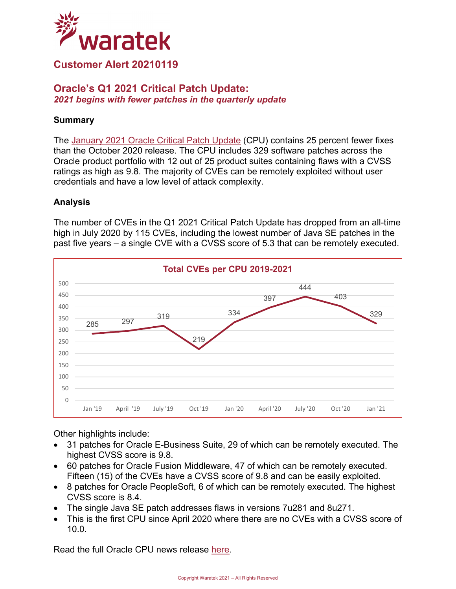

# **Customer Alert 20210119**

## **Oracle's Q1 2021 Critical Patch Update:**  *2021 begins with fewer patches in the quarterly update*

### **Summary**

The [January 2021 Oracle Critical Patch Update](https://www.oracle.com/security-alerts/cpujan2021.html) (CPU) contains 25 percent fewer fixes than the October 2020 release. The CPU includes 329 software patches across the Oracle product portfolio with 12 out of 25 product suites containing flaws with a CVSS ratings as high as 9.8. The majority of CVEs can be remotely exploited without user credentials and have a low level of attack complexity.

#### **Analysis**

The number of CVEs in the Q1 2021 Critical Patch Update has dropped from an all-time high in July 2020 by 115 CVEs, including the lowest number of Java SE patches in the past five years – a single CVE with a CVSS score of 5.3 that can be remotely executed.



Other highlights include:

- 31 patches for Oracle E-Business Suite, 29 of which can be remotely executed. The highest CVSS score is 9.8.
- 60 patches for Oracle Fusion Middleware, 47 of which can be remotely executed. Fifteen (15) of the CVEs have a CVSS score of 9.8 and can be easily exploited.
- 8 patches for Oracle PeopleSoft, 6 of which can be remotely executed. The highest CVSS score is 8.4.
- The single Java SE patch addresses flaws in versions 7u281 and 8u271.
- This is the first CPU since April 2020 where there are no CVEs with a CVSS score of 10.0.

Read the full Oracle CPU news release [here.](https://www.oracle.com/security-alerts/cpujan2021.html)